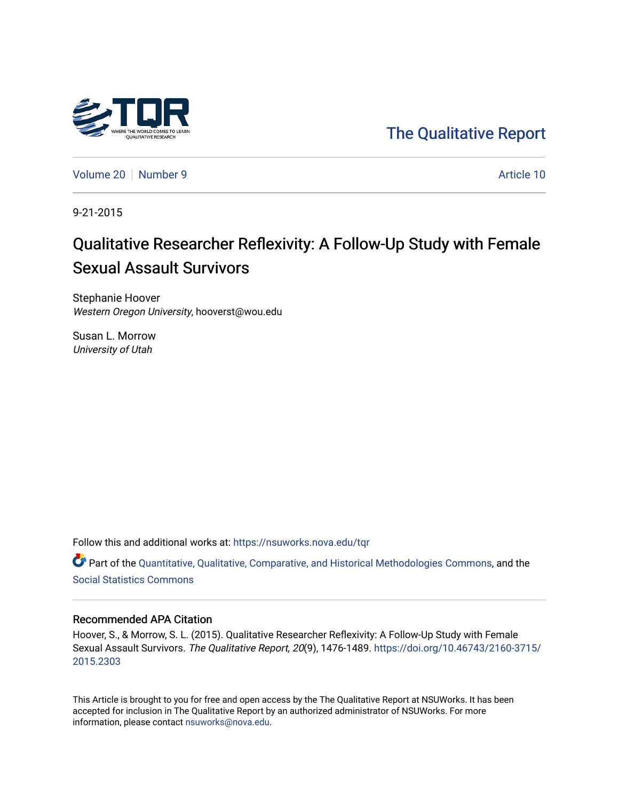

[The Qualitative Report](https://nsuworks.nova.edu/tqr) 

[Volume 20](https://nsuworks.nova.edu/tqr/vol20) [Number 9](https://nsuworks.nova.edu/tqr/vol20/iss9) Article 10

9-21-2015

# Qualitative Researcher Reflexivity: A Follow-Up Study with Female Sexual Assault Survivors

Stephanie Hoover Western Oregon University, hooverst@wou.edu

Susan L. Morrow University of Utah

Follow this and additional works at: [https://nsuworks.nova.edu/tqr](https://nsuworks.nova.edu/tqr?utm_source=nsuworks.nova.edu%2Ftqr%2Fvol20%2Fiss9%2F10&utm_medium=PDF&utm_campaign=PDFCoverPages) 

Part of the [Quantitative, Qualitative, Comparative, and Historical Methodologies Commons,](http://network.bepress.com/hgg/discipline/423?utm_source=nsuworks.nova.edu%2Ftqr%2Fvol20%2Fiss9%2F10&utm_medium=PDF&utm_campaign=PDFCoverPages) and the [Social Statistics Commons](http://network.bepress.com/hgg/discipline/1275?utm_source=nsuworks.nova.edu%2Ftqr%2Fvol20%2Fiss9%2F10&utm_medium=PDF&utm_campaign=PDFCoverPages) 

## Recommended APA Citation

Hoover, S., & Morrow, S. L. (2015). Qualitative Researcher Reflexivity: A Follow-Up Study with Female Sexual Assault Survivors. The Qualitative Report, 20(9), 1476-1489. [https://doi.org/10.46743/2160-3715/](https://doi.org/10.46743/2160-3715/2015.2303) [2015.2303](https://doi.org/10.46743/2160-3715/2015.2303) 

This Article is brought to you for free and open access by the The Qualitative Report at NSUWorks. It has been accepted for inclusion in The Qualitative Report by an authorized administrator of NSUWorks. For more information, please contact [nsuworks@nova.edu.](mailto:nsuworks@nova.edu)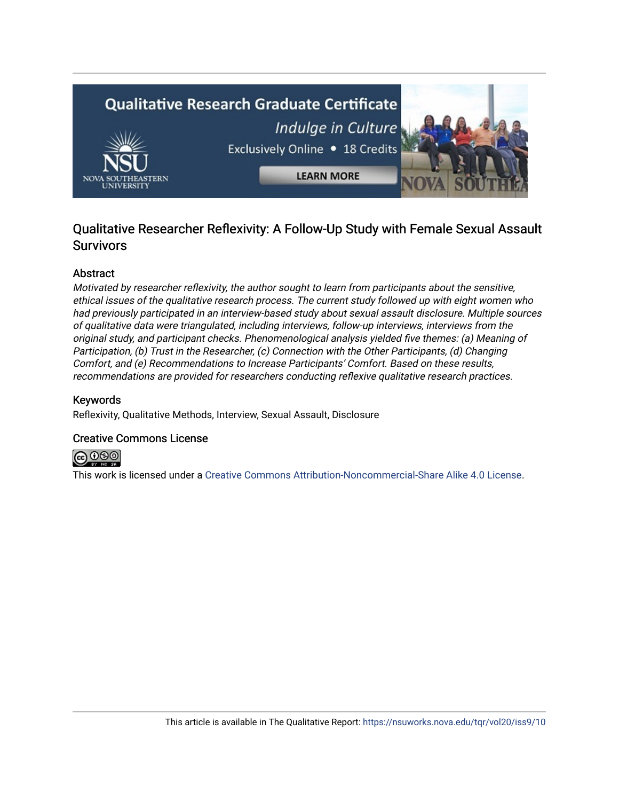

## Qualitative Researcher Reflexivity: A Follow-Up Study with Female Sexual Assault **Survivors**

## Abstract

Motivated by researcher reflexivity, the author sought to learn from participants about the sensitive, ethical issues of the qualitative research process. The current study followed up with eight women who had previously participated in an interview-based study about sexual assault disclosure. Multiple sources of qualitative data were triangulated, including interviews, follow-up interviews, interviews from the original study, and participant checks. Phenomenological analysis yielded five themes: (a) Meaning of Participation, (b) Trust in the Researcher, (c) Connection with the Other Participants, (d) Changing Comfort, and (e) Recommendations to Increase Participants' Comfort. Based on these results, recommendations are provided for researchers conducting reflexive qualitative research practices.

## Keywords

Reflexivity, Qualitative Methods, Interview, Sexual Assault, Disclosure

## Creative Commons License



This work is licensed under a [Creative Commons Attribution-Noncommercial-Share Alike 4.0 License](https://creativecommons.org/licenses/by-nc-sa/4.0/).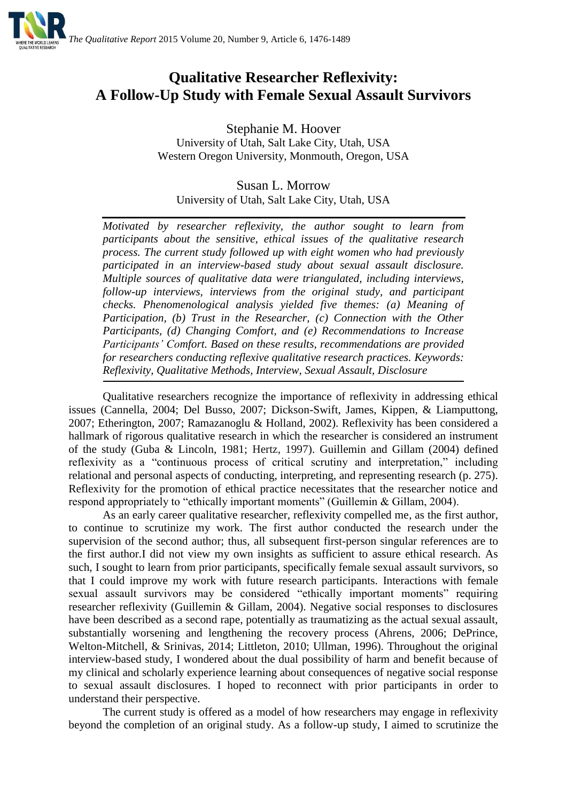

## **Qualitative Researcher Reflexivity: A Follow-Up Study with Female Sexual Assault Survivors**

Stephanie M. Hoover University of Utah, Salt Lake City, Utah, USA Western Oregon University, Monmouth, Oregon, USA

Susan L. Morrow University of Utah, Salt Lake City, Utah, USA

*Motivated by researcher reflexivity, the author sought to learn from participants about the sensitive, ethical issues of the qualitative research process. The current study followed up with eight women who had previously participated in an interview-based study about sexual assault disclosure. Multiple sources of qualitative data were triangulated, including interviews, follow-up interviews, interviews from the original study, and participant checks. Phenomenological analysis yielded five themes: (a) Meaning of Participation, (b) Trust in the Researcher, (c) Connection with the Other Participants, (d) Changing Comfort, and (e) Recommendations to Increase Participants' Comfort. Based on these results, recommendations are provided for researchers conducting reflexive qualitative research practices. Keywords: Reflexivity, Qualitative Methods, Interview, Sexual Assault, Disclosure*

Qualitative researchers recognize the importance of reflexivity in addressing ethical issues (Cannella, 2004; Del Busso, 2007; Dickson-Swift, James, Kippen, & Liamputtong, 2007; Etherington, 2007; Ramazanoglu & Holland, 2002). Reflexivity has been considered a hallmark of rigorous qualitative research in which the researcher is considered an instrument of the study (Guba & Lincoln, 1981; Hertz, 1997). Guillemin and Gillam (2004) defined reflexivity as a "continuous process of critical scrutiny and interpretation," including relational and personal aspects of conducting, interpreting, and representing research (p. 275). Reflexivity for the promotion of ethical practice necessitates that the researcher notice and respond appropriately to "ethically important moments" (Guillemin & Gillam, 2004).

As an early career qualitative researcher, reflexivity compelled me, as the first author, to continue to scrutinize my work. The first author conducted the research under the supervision of the second author; thus, all subsequent first-person singular references are to the first author.I did not view my own insights as sufficient to assure ethical research. As such, I sought to learn from prior participants, specifically female sexual assault survivors, so that I could improve my work with future research participants. Interactions with female sexual assault survivors may be considered "ethically important moments" requiring researcher reflexivity (Guillemin & Gillam, 2004). Negative social responses to disclosures have been described as a second rape, potentially as traumatizing as the actual sexual assault, substantially worsening and lengthening the recovery process (Ahrens, 2006; DePrince, Welton-Mitchell, & Srinivas, 2014; Littleton, 2010; Ullman, 1996). Throughout the original interview-based study, I wondered about the dual possibility of harm and benefit because of my clinical and scholarly experience learning about consequences of negative social response to sexual assault disclosures. I hoped to reconnect with prior participants in order to understand their perspective.

The current study is offered as a model of how researchers may engage in reflexivity beyond the completion of an original study. As a follow-up study, I aimed to scrutinize the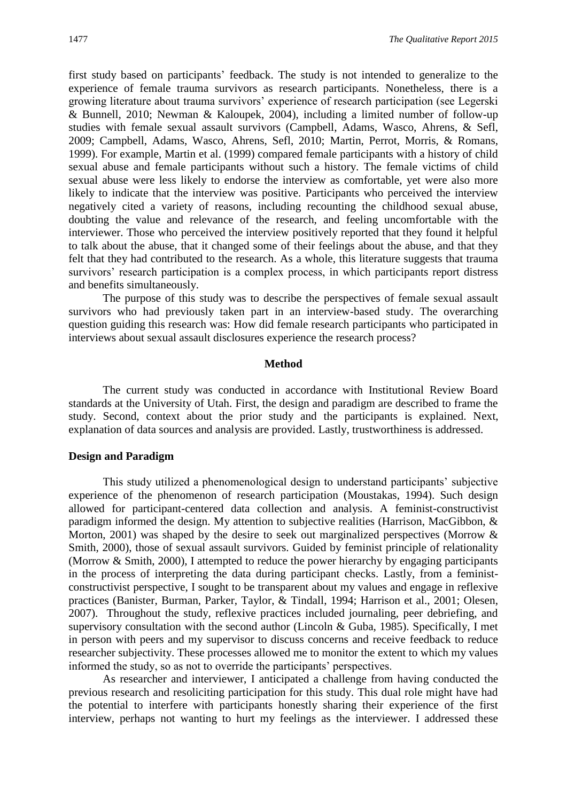first study based on participants' feedback. The study is not intended to generalize to the experience of female trauma survivors as research participants. Nonetheless, there is a growing literature about trauma survivors' experience of research participation (see Legerski & Bunnell, 2010; Newman & Kaloupek, 2004), including a limited number of follow-up studies with female sexual assault survivors (Campbell, Adams, Wasco, Ahrens, & Sefl, 2009; Campbell, Adams, Wasco, Ahrens, Sefl, 2010; Martin, Perrot, Morris, & Romans, 1999). For example, Martin et al. (1999) compared female participants with a history of child sexual abuse and female participants without such a history. The female victims of child sexual abuse were less likely to endorse the interview as comfortable, yet were also more likely to indicate that the interview was positive. Participants who perceived the interview negatively cited a variety of reasons, including recounting the childhood sexual abuse, doubting the value and relevance of the research, and feeling uncomfortable with the interviewer. Those who perceived the interview positively reported that they found it helpful to talk about the abuse, that it changed some of their feelings about the abuse, and that they felt that they had contributed to the research. As a whole, this literature suggests that trauma survivors' research participation is a complex process, in which participants report distress and benefits simultaneously.

The purpose of this study was to describe the perspectives of female sexual assault survivors who had previously taken part in an interview-based study. The overarching question guiding this research was: How did female research participants who participated in interviews about sexual assault disclosures experience the research process?

## **Method**

The current study was conducted in accordance with Institutional Review Board standards at the University of Utah. First, the design and paradigm are described to frame the study. Second, context about the prior study and the participants is explained. Next, explanation of data sources and analysis are provided. Lastly, trustworthiness is addressed.

## **Design and Paradigm**

This study utilized a phenomenological design to understand participants' subjective experience of the phenomenon of research participation (Moustakas, 1994). Such design allowed for participant-centered data collection and analysis. A feminist-constructivist paradigm informed the design. My attention to subjective realities (Harrison, MacGibbon, & Morton, 2001) was shaped by the desire to seek out marginalized perspectives (Morrow  $\&$ Smith, 2000), those of sexual assault survivors. Guided by feminist principle of relationality (Morrow & Smith, 2000), I attempted to reduce the power hierarchy by engaging participants in the process of interpreting the data during participant checks. Lastly, from a feministconstructivist perspective, I sought to be transparent about my values and engage in reflexive practices (Banister, Burman, Parker, Taylor, & Tindall, 1994; Harrison et al., 2001; Olesen, 2007). Throughout the study, reflexive practices included journaling, peer debriefing, and supervisory consultation with the second author (Lincoln  $\&$  Guba, 1985). Specifically, I met in person with peers and my supervisor to discuss concerns and receive feedback to reduce researcher subjectivity. These processes allowed me to monitor the extent to which my values informed the study, so as not to override the participants' perspectives.

As researcher and interviewer, I anticipated a challenge from having conducted the previous research and resoliciting participation for this study. This dual role might have had the potential to interfere with participants honestly sharing their experience of the first interview, perhaps not wanting to hurt my feelings as the interviewer. I addressed these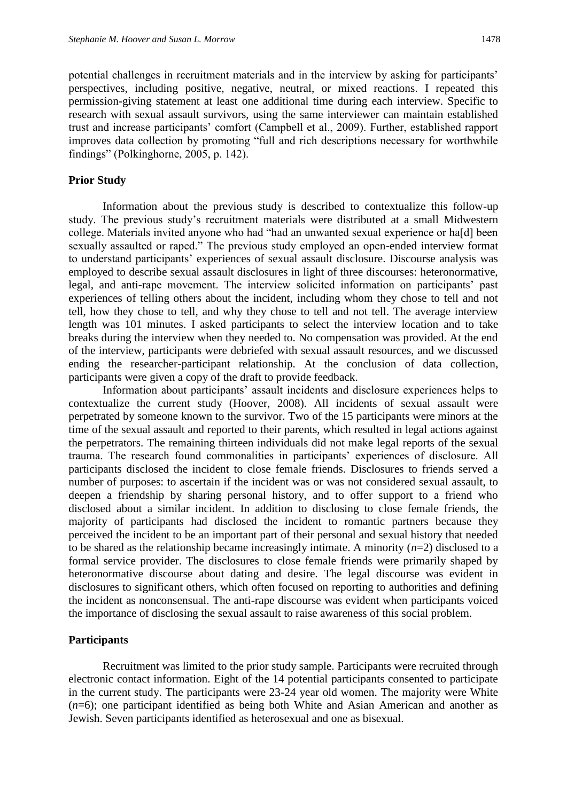potential challenges in recruitment materials and in the interview by asking for participants' perspectives, including positive, negative, neutral, or mixed reactions. I repeated this permission-giving statement at least one additional time during each interview. Specific to research with sexual assault survivors, using the same interviewer can maintain established trust and increase participants' comfort (Campbell et al., 2009). Further, established rapport improves data collection by promoting "full and rich descriptions necessary for worthwhile findings" (Polkinghorne, 2005, p. 142).

## **Prior Study**

Information about the previous study is described to contextualize this follow-up study. The previous study's recruitment materials were distributed at a small Midwestern college. Materials invited anyone who had "had an unwanted sexual experience or ha[d] been sexually assaulted or raped." The previous study employed an open-ended interview format to understand participants' experiences of sexual assault disclosure. Discourse analysis was employed to describe sexual assault disclosures in light of three discourses: heteronormative, legal, and anti-rape movement. The interview solicited information on participants' past experiences of telling others about the incident, including whom they chose to tell and not tell, how they chose to tell, and why they chose to tell and not tell. The average interview length was 101 minutes. I asked participants to select the interview location and to take breaks during the interview when they needed to. No compensation was provided. At the end of the interview, participants were debriefed with sexual assault resources, and we discussed ending the researcher-participant relationship. At the conclusion of data collection, participants were given a copy of the draft to provide feedback.

Information about participants' assault incidents and disclosure experiences helps to contextualize the current study (Hoover, 2008). All incidents of sexual assault were perpetrated by someone known to the survivor. Two of the 15 participants were minors at the time of the sexual assault and reported to their parents, which resulted in legal actions against the perpetrators. The remaining thirteen individuals did not make legal reports of the sexual trauma. The research found commonalities in participants' experiences of disclosure. All participants disclosed the incident to close female friends. Disclosures to friends served a number of purposes: to ascertain if the incident was or was not considered sexual assault, to deepen a friendship by sharing personal history, and to offer support to a friend who disclosed about a similar incident. In addition to disclosing to close female friends, the majority of participants had disclosed the incident to romantic partners because they perceived the incident to be an important part of their personal and sexual history that needed to be shared as the relationship became increasingly intimate. A minority (*n*=2) disclosed to a formal service provider. The disclosures to close female friends were primarily shaped by heteronormative discourse about dating and desire. The legal discourse was evident in disclosures to significant others, which often focused on reporting to authorities and defining the incident as nonconsensual. The anti-rape discourse was evident when participants voiced the importance of disclosing the sexual assault to raise awareness of this social problem.

## **Participants**

Recruitment was limited to the prior study sample. Participants were recruited through electronic contact information. Eight of the 14 potential participants consented to participate in the current study. The participants were 23-24 year old women. The majority were White (*n*=6); one participant identified as being both White and Asian American and another as Jewish. Seven participants identified as heterosexual and one as bisexual.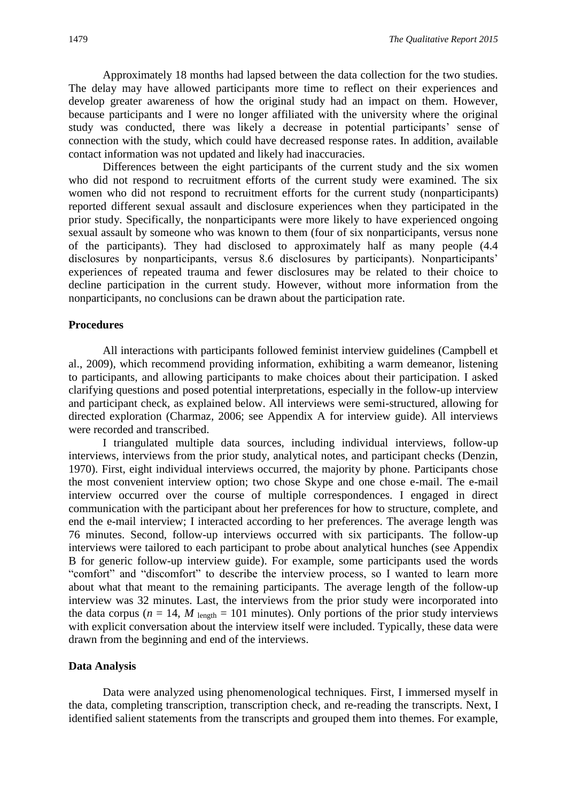Approximately 18 months had lapsed between the data collection for the two studies. The delay may have allowed participants more time to reflect on their experiences and develop greater awareness of how the original study had an impact on them. However, because participants and I were no longer affiliated with the university where the original study was conducted, there was likely a decrease in potential participants' sense of connection with the study, which could have decreased response rates. In addition, available contact information was not updated and likely had inaccuracies.

Differences between the eight participants of the current study and the six women who did not respond to recruitment efforts of the current study were examined. The six women who did not respond to recruitment efforts for the current study (nonparticipants) reported different sexual assault and disclosure experiences when they participated in the prior study. Specifically, the nonparticipants were more likely to have experienced ongoing sexual assault by someone who was known to them (four of six nonparticipants, versus none of the participants). They had disclosed to approximately half as many people (4.4 disclosures by nonparticipants, versus 8.6 disclosures by participants). Nonparticipants' experiences of repeated trauma and fewer disclosures may be related to their choice to decline participation in the current study. However, without more information from the nonparticipants, no conclusions can be drawn about the participation rate.

#### **Procedures**

All interactions with participants followed feminist interview guidelines (Campbell et al., 2009), which recommend providing information, exhibiting a warm demeanor, listening to participants, and allowing participants to make choices about their participation. I asked clarifying questions and posed potential interpretations, especially in the follow-up interview and participant check, as explained below. All interviews were semi-structured, allowing for directed exploration (Charmaz, 2006; see Appendix A for interview guide). All interviews were recorded and transcribed.

I triangulated multiple data sources, including individual interviews, follow-up interviews, interviews from the prior study, analytical notes, and participant checks (Denzin, 1970). First, eight individual interviews occurred, the majority by phone. Participants chose the most convenient interview option; two chose Skype and one chose e-mail. The e-mail interview occurred over the course of multiple correspondences. I engaged in direct communication with the participant about her preferences for how to structure, complete, and end the e-mail interview; I interacted according to her preferences. The average length was 76 minutes. Second, follow-up interviews occurred with six participants. The follow-up interviews were tailored to each participant to probe about analytical hunches (see Appendix B for generic follow-up interview guide). For example, some participants used the words "comfort" and "discomfort" to describe the interview process, so I wanted to learn more about what that meant to the remaining participants. The average length of the follow-up interview was 32 minutes. Last, the interviews from the prior study were incorporated into the data corpus ( $n = 14$ ,  $M$  length = 101 minutes). Only portions of the prior study interviews with explicit conversation about the interview itself were included. Typically, these data were drawn from the beginning and end of the interviews.

#### **Data Analysis**

Data were analyzed using phenomenological techniques. First, I immersed myself in the data, completing transcription, transcription check, and re-reading the transcripts. Next, I identified salient statements from the transcripts and grouped them into themes. For example,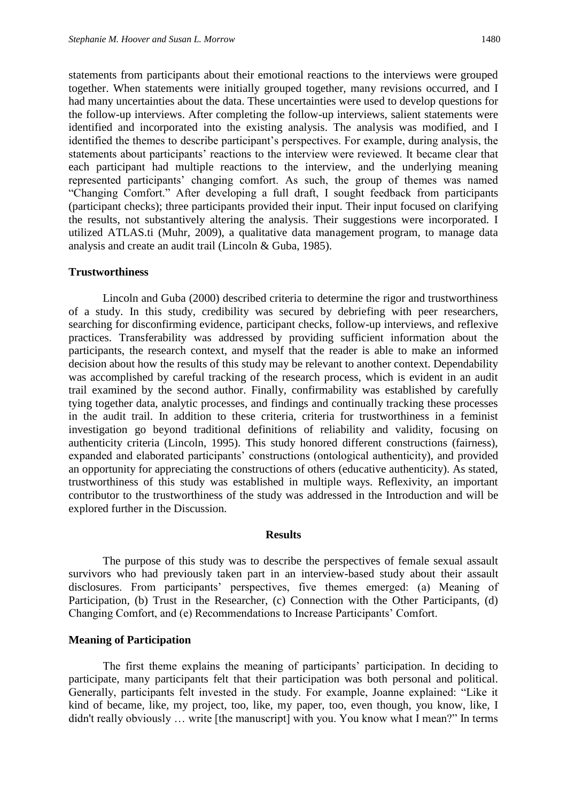statements from participants about their emotional reactions to the interviews were grouped together. When statements were initially grouped together, many revisions occurred, and I had many uncertainties about the data. These uncertainties were used to develop questions for the follow-up interviews. After completing the follow-up interviews, salient statements were identified and incorporated into the existing analysis. The analysis was modified, and I identified the themes to describe participant's perspectives. For example, during analysis, the statements about participants' reactions to the interview were reviewed. It became clear that each participant had multiple reactions to the interview, and the underlying meaning represented participants' changing comfort. As such, the group of themes was named "Changing Comfort." After developing a full draft, I sought feedback from participants (participant checks); three participants provided their input. Their input focused on clarifying the results, not substantively altering the analysis. Their suggestions were incorporated. I utilized ATLAS.ti (Muhr, 2009), a qualitative data management program, to manage data analysis and create an audit trail (Lincoln & Guba, 1985).

## **Trustworthiness**

Lincoln and Guba (2000) described criteria to determine the rigor and trustworthiness of a study. In this study, credibility was secured by debriefing with peer researchers, searching for disconfirming evidence, participant checks, follow-up interviews, and reflexive practices. Transferability was addressed by providing sufficient information about the participants, the research context, and myself that the reader is able to make an informed decision about how the results of this study may be relevant to another context. Dependability was accomplished by careful tracking of the research process, which is evident in an audit trail examined by the second author. Finally, confirmability was established by carefully tying together data, analytic processes, and findings and continually tracking these processes in the audit trail. In addition to these criteria, criteria for trustworthiness in a feminist investigation go beyond traditional definitions of reliability and validity, focusing on authenticity criteria (Lincoln, 1995). This study honored different constructions (fairness), expanded and elaborated participants' constructions (ontological authenticity), and provided an opportunity for appreciating the constructions of others (educative authenticity). As stated, trustworthiness of this study was established in multiple ways. Reflexivity, an important contributor to the trustworthiness of the study was addressed in the Introduction and will be explored further in the Discussion.

#### **Results**

The purpose of this study was to describe the perspectives of female sexual assault survivors who had previously taken part in an interview-based study about their assault disclosures. From participants' perspectives, five themes emerged: (a) Meaning of Participation, (b) Trust in the Researcher, (c) Connection with the Other Participants, (d) Changing Comfort, and (e) Recommendations to Increase Participants' Comfort.

## **Meaning of Participation**

The first theme explains the meaning of participants' participation. In deciding to participate, many participants felt that their participation was both personal and political. Generally, participants felt invested in the study. For example, Joanne explained: "Like it kind of became, like, my project, too, like, my paper, too, even though, you know, like, I didn't really obviously … write [the manuscript] with you. You know what I mean?" In terms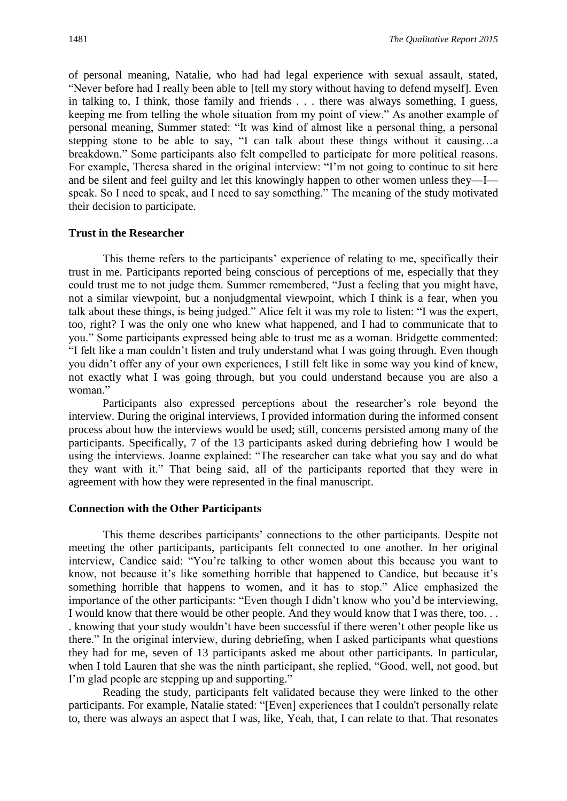of personal meaning, Natalie, who had had legal experience with sexual assault, stated, "Never before had I really been able to [tell my story without having to defend myself]. Even in talking to, I think, those family and friends . . . there was always something, I guess, keeping me from telling the whole situation from my point of view." As another example of personal meaning, Summer stated: "It was kind of almost like a personal thing, a personal stepping stone to be able to say, "I can talk about these things without it causing…a breakdown." Some participants also felt compelled to participate for more political reasons. For example, Theresa shared in the original interview: "I'm not going to continue to sit here and be silent and feel guilty and let this knowingly happen to other women unless they—I speak. So I need to speak, and I need to say something." The meaning of the study motivated their decision to participate.

#### **Trust in the Researcher**

This theme refers to the participants' experience of relating to me, specifically their trust in me. Participants reported being conscious of perceptions of me, especially that they could trust me to not judge them. Summer remembered, "Just a feeling that you might have, not a similar viewpoint, but a nonjudgmental viewpoint, which I think is a fear, when you talk about these things, is being judged." Alice felt it was my role to listen: "I was the expert, too, right? I was the only one who knew what happened, and I had to communicate that to you." Some participants expressed being able to trust me as a woman. Bridgette commented: "I felt like a man couldn't listen and truly understand what I was going through. Even though you didn't offer any of your own experiences, I still felt like in some way you kind of knew, not exactly what I was going through, but you could understand because you are also a woman."

Participants also expressed perceptions about the researcher's role beyond the interview. During the original interviews, I provided information during the informed consent process about how the interviews would be used; still, concerns persisted among many of the participants. Specifically, 7 of the 13 participants asked during debriefing how I would be using the interviews. Joanne explained: "The researcher can take what you say and do what they want with it." That being said, all of the participants reported that they were in agreement with how they were represented in the final manuscript.

## **Connection with the Other Participants**

This theme describes participants' connections to the other participants. Despite not meeting the other participants, participants felt connected to one another. In her original interview, Candice said: "You're talking to other women about this because you want to know, not because it's like something horrible that happened to Candice, but because it's something horrible that happens to women, and it has to stop." Alice emphasized the importance of the other participants: "Even though I didn't know who you'd be interviewing, I would know that there would be other people. And they would know that I was there, too. . . . knowing that your study wouldn't have been successful if there weren't other people like us there." In the original interview, during debriefing, when I asked participants what questions they had for me, seven of 13 participants asked me about other participants. In particular, when I told Lauren that she was the ninth participant, she replied, "Good, well, not good, but I'm glad people are stepping up and supporting."

Reading the study, participants felt validated because they were linked to the other participants. For example, Natalie stated: "[Even] experiences that I couldn't personally relate to, there was always an aspect that I was, like, Yeah, that, I can relate to that. That resonates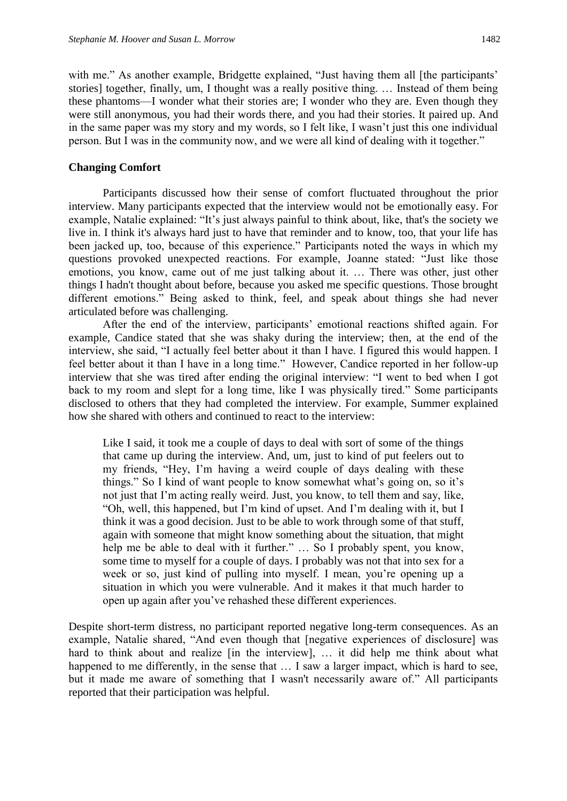with me." As another example, Bridgette explained, "Just having them all [the participants' stories] together, finally, um, I thought was a really positive thing. … Instead of them being these phantoms—I wonder what their stories are; I wonder who they are. Even though they were still anonymous, you had their words there, and you had their stories. It paired up. And in the same paper was my story and my words, so I felt like, I wasn't just this one individual person. But I was in the community now, and we were all kind of dealing with it together."

## **Changing Comfort**

Participants discussed how their sense of comfort fluctuated throughout the prior interview. Many participants expected that the interview would not be emotionally easy. For example, Natalie explained: "It's just always painful to think about, like, that's the society we live in. I think it's always hard just to have that reminder and to know, too, that your life has been jacked up, too, because of this experience." Participants noted the ways in which my questions provoked unexpected reactions. For example, Joanne stated: "Just like those emotions, you know, came out of me just talking about it. … There was other, just other things I hadn't thought about before, because you asked me specific questions. Those brought different emotions." Being asked to think, feel, and speak about things she had never articulated before was challenging.

After the end of the interview, participants' emotional reactions shifted again. For example, Candice stated that she was shaky during the interview; then, at the end of the interview, she said, "I actually feel better about it than I have. I figured this would happen. I feel better about it than I have in a long time." However, Candice reported in her follow-up interview that she was tired after ending the original interview: "I went to bed when I got back to my room and slept for a long time, like I was physically tired." Some participants disclosed to others that they had completed the interview. For example, Summer explained how she shared with others and continued to react to the interview:

Like I said, it took me a couple of days to deal with sort of some of the things that came up during the interview. And, um, just to kind of put feelers out to my friends, "Hey, I'm having a weird couple of days dealing with these things." So I kind of want people to know somewhat what's going on, so it's not just that I'm acting really weird. Just, you know, to tell them and say, like, "Oh, well, this happened, but I'm kind of upset. And I'm dealing with it, but I think it was a good decision. Just to be able to work through some of that stuff, again with someone that might know something about the situation, that might help me be able to deal with it further." ... So I probably spent, you know, some time to myself for a couple of days. I probably was not that into sex for a week or so, just kind of pulling into myself. I mean, you're opening up a situation in which you were vulnerable. And it makes it that much harder to open up again after you've rehashed these different experiences.

Despite short-term distress, no participant reported negative long-term consequences. As an example, Natalie shared, "And even though that [negative experiences of disclosure] was hard to think about and realize [in the interview], ... it did help me think about what happened to me differently, in the sense that  $\dots$  I saw a larger impact, which is hard to see, but it made me aware of something that I wasn't necessarily aware of." All participants reported that their participation was helpful.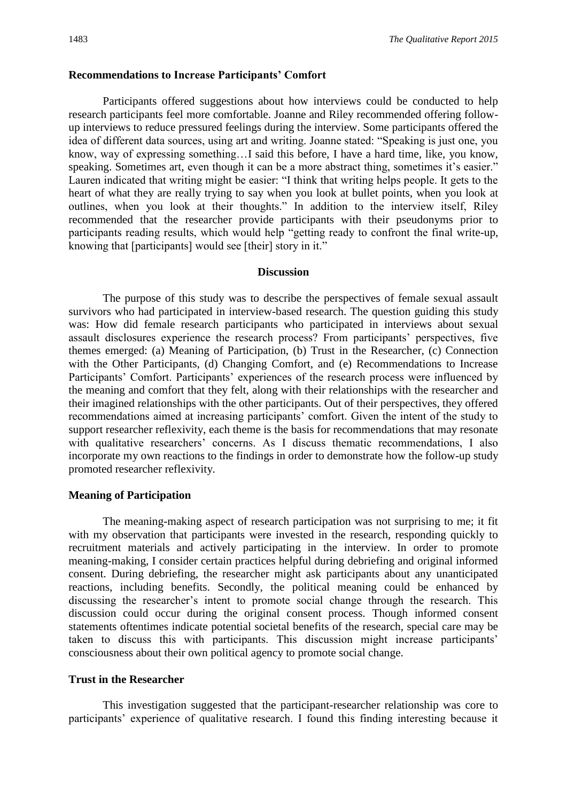## **Recommendations to Increase Participants' Comfort**

Participants offered suggestions about how interviews could be conducted to help research participants feel more comfortable. Joanne and Riley recommended offering followup interviews to reduce pressured feelings during the interview. Some participants offered the idea of different data sources, using art and writing. Joanne stated: "Speaking is just one, you know, way of expressing something…I said this before, I have a hard time, like, you know, speaking. Sometimes art, even though it can be a more abstract thing, sometimes it's easier." Lauren indicated that writing might be easier: "I think that writing helps people. It gets to the heart of what they are really trying to say when you look at bullet points, when you look at outlines, when you look at their thoughts." In addition to the interview itself, Riley recommended that the researcher provide participants with their pseudonyms prior to participants reading results, which would help "getting ready to confront the final write-up, knowing that [participants] would see [their] story in it."

## **Discussion**

The purpose of this study was to describe the perspectives of female sexual assault survivors who had participated in interview-based research. The question guiding this study was: How did female research participants who participated in interviews about sexual assault disclosures experience the research process? From participants' perspectives, five themes emerged: (a) Meaning of Participation, (b) Trust in the Researcher, (c) Connection with the Other Participants, (d) Changing Comfort, and (e) Recommendations to Increase Participants' Comfort. Participants' experiences of the research process were influenced by the meaning and comfort that they felt, along with their relationships with the researcher and their imagined relationships with the other participants. Out of their perspectives, they offered recommendations aimed at increasing participants' comfort. Given the intent of the study to support researcher reflexivity, each theme is the basis for recommendations that may resonate with qualitative researchers' concerns. As I discuss thematic recommendations, I also incorporate my own reactions to the findings in order to demonstrate how the follow-up study promoted researcher reflexivity.

#### **Meaning of Participation**

The meaning-making aspect of research participation was not surprising to me; it fit with my observation that participants were invested in the research, responding quickly to recruitment materials and actively participating in the interview. In order to promote meaning-making, I consider certain practices helpful during debriefing and original informed consent. During debriefing, the researcher might ask participants about any unanticipated reactions, including benefits. Secondly, the political meaning could be enhanced by discussing the researcher's intent to promote social change through the research. This discussion could occur during the original consent process. Though informed consent statements oftentimes indicate potential societal benefits of the research, special care may be taken to discuss this with participants. This discussion might increase participants' consciousness about their own political agency to promote social change.

## **Trust in the Researcher**

This investigation suggested that the participant-researcher relationship was core to participants' experience of qualitative research. I found this finding interesting because it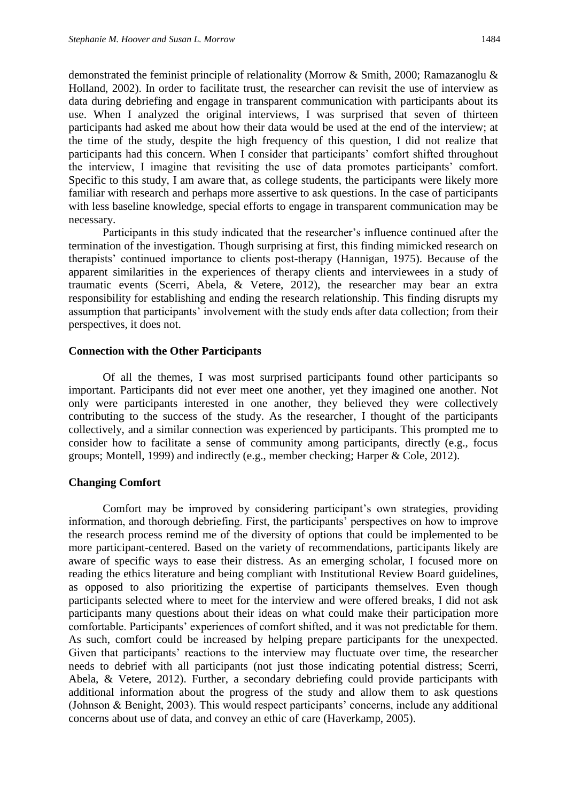demonstrated the feminist principle of relationality (Morrow & Smith, 2000; Ramazanoglu & Holland, 2002). In order to facilitate trust, the researcher can revisit the use of interview as data during debriefing and engage in transparent communication with participants about its use. When I analyzed the original interviews, I was surprised that seven of thirteen participants had asked me about how their data would be used at the end of the interview; at the time of the study, despite the high frequency of this question, I did not realize that participants had this concern. When I consider that participants' comfort shifted throughout the interview, I imagine that revisiting the use of data promotes participants' comfort. Specific to this study, I am aware that, as college students, the participants were likely more familiar with research and perhaps more assertive to ask questions. In the case of participants with less baseline knowledge, special efforts to engage in transparent communication may be necessary.

Participants in this study indicated that the researcher's influence continued after the termination of the investigation. Though surprising at first, this finding mimicked research on therapists' continued importance to clients post-therapy (Hannigan, 1975). Because of the apparent similarities in the experiences of therapy clients and interviewees in a study of traumatic events (Scerri, Abela, & Vetere, 2012), the researcher may bear an extra responsibility for establishing and ending the research relationship. This finding disrupts my assumption that participants' involvement with the study ends after data collection; from their perspectives, it does not.

#### **Connection with the Other Participants**

Of all the themes, I was most surprised participants found other participants so important. Participants did not ever meet one another, yet they imagined one another. Not only were participants interested in one another, they believed they were collectively contributing to the success of the study. As the researcher, I thought of the participants collectively, and a similar connection was experienced by participants. This prompted me to consider how to facilitate a sense of community among participants, directly (e.g., focus groups; Montell, 1999) and indirectly (e.g., member checking; Harper & Cole, 2012).

## **Changing Comfort**

Comfort may be improved by considering participant's own strategies, providing information, and thorough debriefing. First, the participants' perspectives on how to improve the research process remind me of the diversity of options that could be implemented to be more participant-centered. Based on the variety of recommendations, participants likely are aware of specific ways to ease their distress. As an emerging scholar, I focused more on reading the ethics literature and being compliant with Institutional Review Board guidelines, as opposed to also prioritizing the expertise of participants themselves. Even though participants selected where to meet for the interview and were offered breaks, I did not ask participants many questions about their ideas on what could make their participation more comfortable. Participants' experiences of comfort shifted, and it was not predictable for them. As such, comfort could be increased by helping prepare participants for the unexpected. Given that participants' reactions to the interview may fluctuate over time, the researcher needs to debrief with all participants (not just those indicating potential distress; Scerri, Abela, & Vetere, 2012). Further, a secondary debriefing could provide participants with additional information about the progress of the study and allow them to ask questions (Johnson & Benight, 2003). This would respect participants' concerns, include any additional concerns about use of data, and convey an ethic of care (Haverkamp, 2005).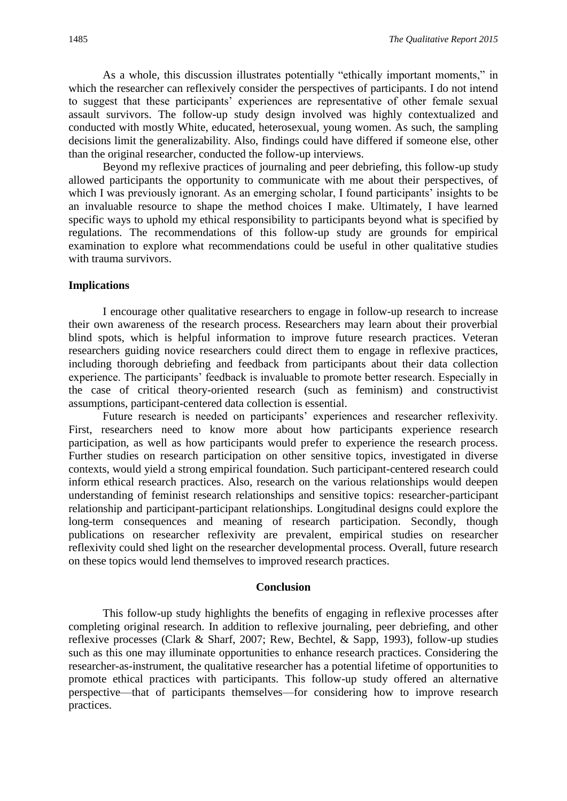As a whole, this discussion illustrates potentially "ethically important moments," in which the researcher can reflexively consider the perspectives of participants. I do not intend to suggest that these participants' experiences are representative of other female sexual assault survivors. The follow-up study design involved was highly contextualized and conducted with mostly White, educated, heterosexual, young women. As such, the sampling decisions limit the generalizability. Also, findings could have differed if someone else, other than the original researcher, conducted the follow-up interviews.

Beyond my reflexive practices of journaling and peer debriefing, this follow-up study allowed participants the opportunity to communicate with me about their perspectives, of which I was previously ignorant. As an emerging scholar, I found participants' insights to be an invaluable resource to shape the method choices I make. Ultimately, I have learned specific ways to uphold my ethical responsibility to participants beyond what is specified by regulations. The recommendations of this follow-up study are grounds for empirical examination to explore what recommendations could be useful in other qualitative studies with trauma survivors.

## **Implications**

I encourage other qualitative researchers to engage in follow-up research to increase their own awareness of the research process. Researchers may learn about their proverbial blind spots, which is helpful information to improve future research practices. Veteran researchers guiding novice researchers could direct them to engage in reflexive practices, including thorough debriefing and feedback from participants about their data collection experience. The participants' feedback is invaluable to promote better research. Especially in the case of critical theory-oriented research (such as feminism) and constructivist assumptions, participant-centered data collection is essential.

Future research is needed on participants' experiences and researcher reflexivity. First, researchers need to know more about how participants experience research participation, as well as how participants would prefer to experience the research process. Further studies on research participation on other sensitive topics, investigated in diverse contexts, would yield a strong empirical foundation. Such participant-centered research could inform ethical research practices. Also, research on the various relationships would deepen understanding of feminist research relationships and sensitive topics: researcher-participant relationship and participant-participant relationships. Longitudinal designs could explore the long-term consequences and meaning of research participation. Secondly, though publications on researcher reflexivity are prevalent, empirical studies on researcher reflexivity could shed light on the researcher developmental process. Overall, future research on these topics would lend themselves to improved research practices.

## **Conclusion**

This follow-up study highlights the benefits of engaging in reflexive processes after completing original research. In addition to reflexive journaling, peer debriefing, and other reflexive processes (Clark & Sharf, 2007; Rew, Bechtel, & Sapp, 1993), follow-up studies such as this one may illuminate opportunities to enhance research practices. Considering the researcher-as-instrument, the qualitative researcher has a potential lifetime of opportunities to promote ethical practices with participants. This follow-up study offered an alternative perspective—that of participants themselves—for considering how to improve research practices.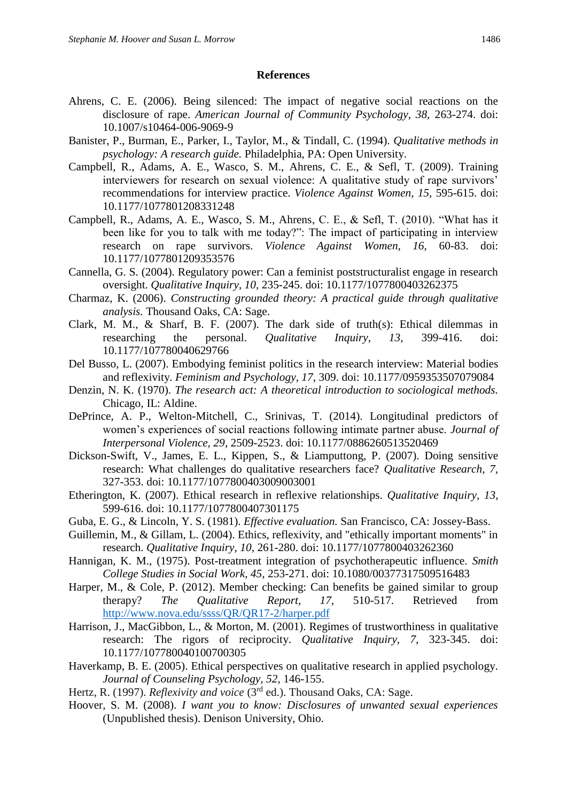## **References**

- Ahrens, C. E. (2006). Being silenced: The impact of negative social reactions on the disclosure of rape. *American Journal of Community Psychology, 38,* 263-274. doi: 10.1007/s10464-006-9069-9
- Banister, P., Burman, E., Parker, I., Taylor, M., & Tindall, C. (1994). *Qualitative methods in psychology: A research guide.* Philadelphia, PA: Open University.
- Campbell, R., Adams, A. E., Wasco, S. M., Ahrens, C. E., & Sefl, T. (2009). Training interviewers for research on sexual violence: A qualitative study of rape survivors' recommendations for interview practice. *Violence Against Women, 15,* 595-615. doi: 10.1177/1077801208331248
- Campbell, R., Adams, A. E., Wasco, S. M., Ahrens, C. E., & Sefl, T. (2010). "What has it been like for you to talk with me today?": The impact of participating in interview research on rape survivors. *Violence Against Women, 16,* 60-83. doi: 10.1177/1077801209353576
- Cannella, G. S. (2004). Regulatory power: Can a feminist poststructuralist engage in research oversight. *Qualitative Inquiry, 10,* 235-245. doi: 10.1177/1077800403262375
- Charmaz, K. (2006). *Constructing grounded theory: A practical guide through qualitative analysis.* Thousand Oaks, CA: Sage.
- Clark, M. M., & Sharf, B. F. (2007). The dark side of truth(s): Ethical dilemmas in researching the personal. *Qualitative Inquiry, 13,* 399-416. doi: 10.1177/107780040629766
- Del Busso, L. (2007). Embodying feminist politics in the research interview: Material bodies and reflexivity. *Feminism and Psychology, 17*, 309. doi: 10.1177/0959353507079084
- Denzin, N. K. (1970). *The research act: A theoretical introduction to sociological methods.* Chicago, IL: Aldine.
- DePrince, A. P., Welton-Mitchell, C., Srinivas, T. (2014). Longitudinal predictors of women's experiences of social reactions following intimate partner abuse. *Journal of Interpersonal Violence, 29*, 2509-2523. doi: 10.1177/0886260513520469
- Dickson-Swift, V., James, E. L., Kippen, S., & Liamputtong, P. (2007). Doing sensitive research: What challenges do qualitative researchers face? *Qualitative Research, 7,* 327-353. doi: 10.1177/1077800403009003001
- Etherington, K. (2007). Ethical research in reflexive relationships. *Qualitative Inquiry, 13,* 599-616. doi: 10.1177/1077800407301175
- Guba, E. G., & Lincoln, Y. S. (1981). *Effective evaluation.* San Francisco, CA: Jossey-Bass.
- Guillemin, M., & Gillam, L. (2004). Ethics, reflexivity, and "ethically important moments" in research. *Qualitative Inquiry, 10,* 261-280. doi: 10.1177/1077800403262360
- Hannigan, K. M., (1975). Post-treatment integration of psychotherapeutic influence. *Smith College Studies in Social Work, 45,* 253-271. doi: 10.1080/00377317509516483
- Harper, M., & Cole, P. (2012). Member checking: Can benefits be gained similar to group therapy? *The Qualitative Report, 17,* 510-517. Retrieved from <http://www.nova.edu/ssss/QR/QR17-2/harper.pdf>
- Harrison, J., MacGibbon, L., & Morton, M. (2001). Regimes of trustworthiness in qualitative research: The rigors of reciprocity. *Qualitative Inquiry, 7,* 323-345. doi: 10.1177/107780040100700305
- Haverkamp, B. E. (2005). Ethical perspectives on qualitative research in applied psychology. *Journal of Counseling Psychology, 52,* 146-155.
- Hertz, R. (1997). *Reflexivity and voice* (3rd ed.). Thousand Oaks, CA: Sage.
- Hoover, S. M. (2008). *I want you to know: Disclosures of unwanted sexual experiences*  (Unpublished thesis). Denison University, Ohio.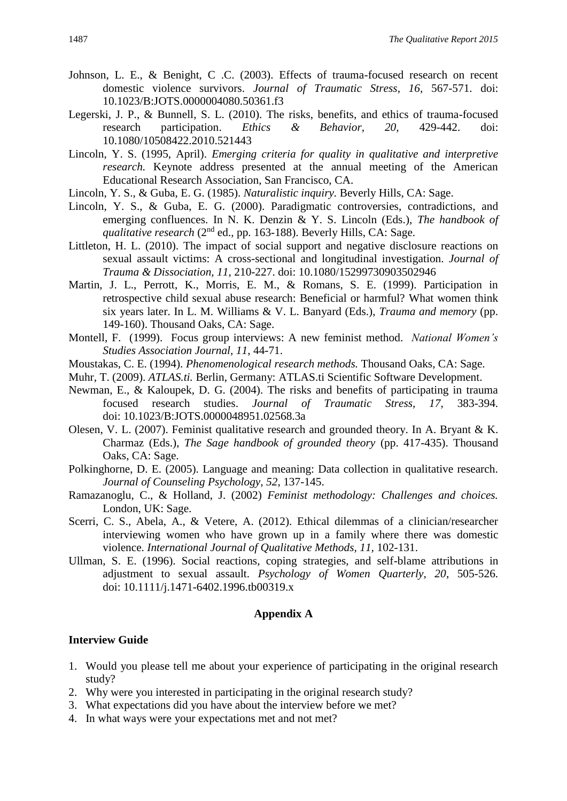- Johnson, L. E., & Benight, C .C. (2003). Effects of trauma-focused research on recent domestic violence survivors. *Journal of Traumatic Stress, 16,* 567-571. doi: 10.1023/B:JOTS.0000004080.50361.f3
- Legerski, J. P., & Bunnell, S. L. (2010). The risks, benefits, and ethics of trauma-focused research participation. *Ethics & Behavior, 20,* 429-442. doi: 10.1080/10508422.2010.521443
- Lincoln, Y. S. (1995, April). *Emerging criteria for quality in qualitative and interpretive research.* Keynote address presented at the annual meeting of the American Educational Research Association, San Francisco, CA.
- Lincoln, Y. S., & Guba, E. G. (1985). *Naturalistic inquiry.* Beverly Hills, CA: Sage.
- Lincoln, Y. S., & Guba, E. G. (2000). Paradigmatic controversies, contradictions, and emerging confluences. In N. K. Denzin & Y. S. Lincoln (Eds.), *The handbook of qualitative research* (2<sup>nd</sup> ed., pp. 163-188). Beverly Hills, CA: Sage.
- Littleton, H. L. (2010). The impact of social support and negative disclosure reactions on sexual assault victims: A cross-sectional and longitudinal investigation. *Journal of Trauma & Dissociation, 11*, 210-227. doi: 10.1080/15299730903502946
- Martin, J. L., Perrott, K., Morris, E. M., & Romans, S. E. (1999). Participation in retrospective child sexual abuse research: Beneficial or harmful? What women think six years later. In L. M. Williams & V. L. Banyard (Eds.), *Trauma and memory* (pp. 149-160). Thousand Oaks, CA: Sage.
- Montell, F. (1999). Focus group interviews: A new feminist method. *National Women's Studies Association Journal, 11*, 44-71.
- Moustakas, C. E. (1994). *Phenomenological research methods.* Thousand Oaks, CA: Sage.
- Muhr, T. (2009). *ATLAS.ti.* Berlin, Germany: ATLAS.ti Scientific Software Development.
- Newman, E., & Kaloupek, D. G. (2004). The risks and benefits of participating in trauma focused research studies. *Journal of Traumatic Stress, 17,* 383-394. doi: 10.1023/B:JOTS.0000048951.02568.3a
- Olesen, V. L. (2007). Feminist qualitative research and grounded theory. In A. Bryant & K. Charmaz (Eds.), *The Sage handbook of grounded theory* (pp. 417-435). Thousand Oaks, CA: Sage.
- Polkinghorne, D. E. (2005). Language and meaning: Data collection in qualitative research. *Journal of Counseling Psychology, 52,* 137-145.
- Ramazanoglu, C., & Holland, J. (2002) *Feminist methodology: Challenges and choices.* London, UK: Sage.
- Scerri, C. S., Abela, A., & Vetere, A. (2012). Ethical dilemmas of a clinician/researcher interviewing women who have grown up in a family where there was domestic violence. *International Journal of Qualitative Methods, 11,* 102-131.
- Ullman, S. E. (1996). Social reactions, coping strategies, and self-blame attributions in adjustment to sexual assault. *Psychology of Women Quarterly, 20*, 505-526. doi: 10.1111/j.1471-6402.1996.tb00319.x

## **Appendix A**

## **Interview Guide**

- 1. Would you please tell me about your experience of participating in the original research study?
- 2. Why were you interested in participating in the original research study?
- 3. What expectations did you have about the interview before we met?
- 4. In what ways were your expectations met and not met?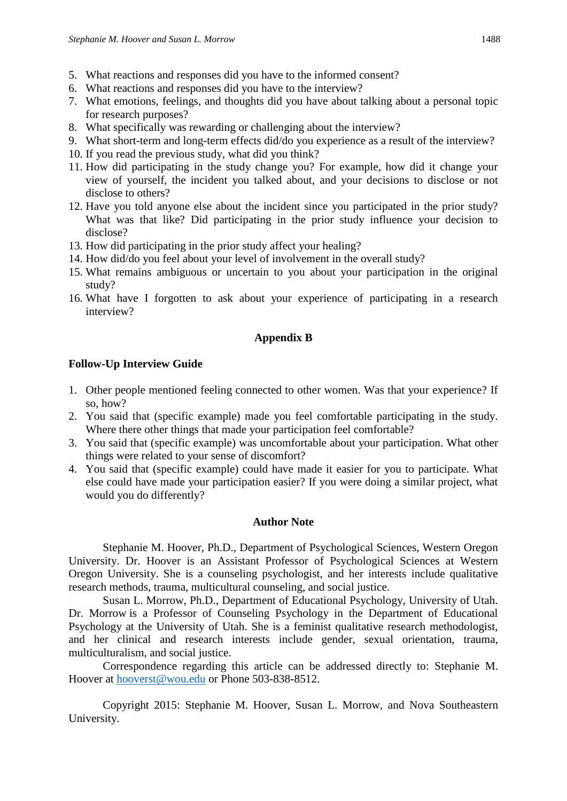- 5. What reactions and responses did you have to the informed consent?
- 6. What reactions and responses did you have to the interview?
- 7. What emotions, feelings, and thoughts did you have about talking about a personal topic for research purposes?
- 8. What specifically was rewarding or challenging about the interview?
- 9. What short-term and long-term effects did/do you experience as a result of the interview?
- 10. If you read the previous study, what did you think?
- 11. How did participating in the study change you? For example, how did it change your view of yourself, the incident you talked about, and your decisions to disclose or not disclose to others?
- 12. Have you told anyone else about the incident since you participated in the prior study? What was that like? Did participating in the prior study influence your decision to disclose?
- 13. How did participating in the prior study affect your healing?
- 14. How did/do you feel about your level of involvement in the overall study?
- 15. What remains ambiguous or uncertain to you about your participation in the original study?
- 16. What have I forgotten to ask about your experience of participating in a research interview?

## **Appendix B**

## **Follow-Up Interview Guide**

- 1. Other people mentioned feeling connected to other women. Was that your experience? If so, how?
- 2. You said that (specific example) made you feel comfortable participating in the study. Where there other things that made your participation feel comfortable?
- 3. You said that (specific example) was uncomfortable about your participation. What other things were related to your sense of discomfort?
- 4. You said that (specific example) could have made it easier for you to participate. What else could have made your participation easier? If you were doing a similar project, what would you do differently?

## **Author Note**

Stephanie M. Hoover, Ph.D., Department of Psychological Sciences, Western Oregon University. Dr. Hoover is an Assistant Professor of Psychological Sciences at Western Oregon University. She is a counseling psychologist, and her interests include qualitative research methods, trauma, multicultural counseling, and social justice.

Susan L. Morrow, Ph.D., Department of Educational Psychology, University of Utah. Dr. Morrow is a Professor of Counseling Psychology in the Department of Educational Psychology at the University of Utah. She is a feminist qualitative research methodologist, and her clinical and research interests include gender, sexual orientation, trauma, multiculturalism, and social justice.

Correspondence regarding this article can be addressed directly to: Stephanie M. Hoover at [hooverst@wou.edu](mailto:hooverst@wou.edu) or Phone 503-838-8512.

Copyright 2015: Stephanie M. Hoover, Susan L. Morrow, and Nova Southeastern University.